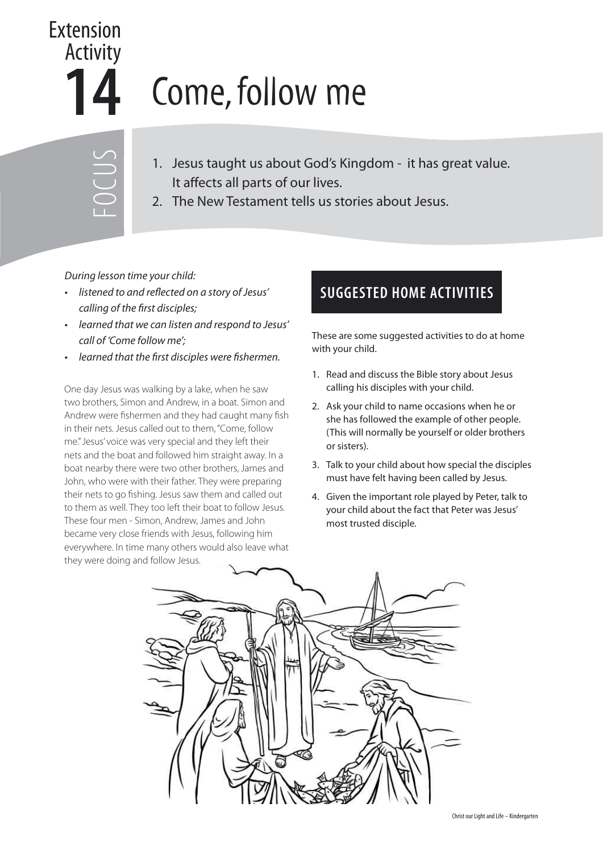## Extension Activity **14** Come, follow me

- FOCUS
- 1. Jesus taught us about God's Kingdom it has great value. It affects all parts of our lives.
- 2. The New Testament tells us stories about Jesus.

During lesson time your child:

- listened to and reflected on a story of Jesus' calling of the first disciples;
- learned that we can listen and respond to Jesus' call of 'Come follow me';
- learned that the first disciples were fishermen.

One day Jesus was walking by a lake, when he saw two brothers, Simon and Andrew, in a boat. Simon and Andrew were fishermen and they had caught many fish in their nets. Jesus called out to them, "Come, follow me." Jesus' voice was very special and they left their nets and the boat and followed him straight away. In a boat nearby there were two other brothers, James and John, who were with their father. They were preparing their nets to go fishing. Jesus saw them and called out to them as well. They too left their boat to follow Jesus. These four men - Simon, Andrew, James and John became very close friends with Jesus, following him everywhere. In time many others would also leave what they were doing and follow Jesus.

## **SUGGESTED HOME ACTIVITIES**

These are some suggested activities to do at home with your child.

- 1. Read and discuss the Bible story about Jesus calling his disciples with your child.
- 2. Ask your child to name occasions when he or she has followed the example of other people. (This will normally be yourself or older brothers or sisters).
- 3. Talk to your child about how special the disciples must have felt having been called by Jesus.
- 4. Given the important role played by Peter, talk to your child about the fact that Peter was Jesus' most trusted disciple.